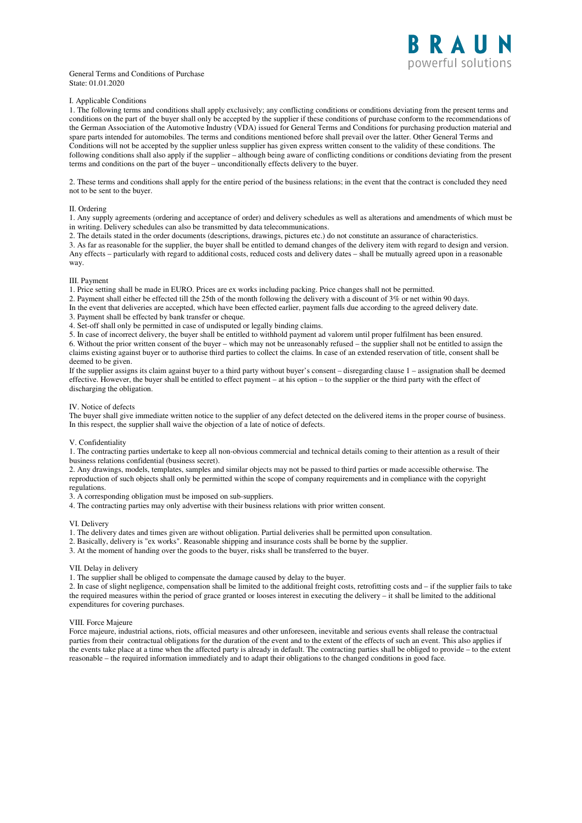#### General Terms and Conditions of Purchase State: 01.01.2020

# I. Applicable Conditions

1. The following terms and conditions shall apply exclusively; any conflicting conditions or conditions deviating from the present terms and conditions on the part of the buyer shall only be accepted by the supplier if these conditions of purchase conform to the recommendations of the German Association of the Automotive Industry (VDA) issued for General Terms and Conditions for purchasing production material and spare parts intended for automobiles. The terms and conditions mentioned before shall prevail over the latter. Other General Terms and Conditions will not be accepted by the supplier unless supplier has given express written consent to the validity of these conditions. The following conditions shall also apply if the supplier – although being aware of conflicting conditions or conditions deviating from the present terms and conditions on the part of the buyer – unconditionally effects delivery to the buyer.

2. These terms and conditions shall apply for the entire period of the business relations; in the event that the contract is concluded they need not to be sent to the buyer.

## II. Ordering

1. Any supply agreements (ordering and acceptance of order) and delivery schedules as well as alterations and amendments of which must be in writing. Delivery schedules can also be transmitted by data telecommunications.

2. The details stated in the order documents (descriptions, drawings, pictures etc.) do not constitute an assurance of characteristics.

3. As far as reasonable for the supplier, the buyer shall be entitled to demand changes of the delivery item with regard to design and version. Any effects – particularly with regard to additional costs, reduced costs and delivery dates – shall be mutually agreed upon in a reasonable way.

### III. Payment

1. Price setting shall be made in EURO. Prices are ex works including packing. Price changes shall not be permitted.

2. Payment shall either be effected till the 25th of the month following the delivery with a discount of 3% or net within 90 days.

In the event that deliveries are accepted, which have been effected earlier, payment falls due according to the agreed delivery date.

3. Payment shall be effected by bank transfer or cheque.

4. Set-off shall only be permitted in case of undisputed or legally binding claims.

5. In case of incorrect delivery, the buyer shall be entitled to withhold payment ad valorem until proper fulfilment has been ensured. 6. Without the prior written consent of the buyer – which may not be unreasonably refused – the supplier shall not be entitled to assign the claims existing against buyer or to authorise third parties to collect the claims. In case of an extended reservation of title, consent shall be deemed to be given.

If the supplier assigns its claim against buyer to a third party without buyer's consent – disregarding clause 1 – assignation shall be deemed effective. However, the buyer shall be entitled to effect payment – at his option – to the supplier or the third party with the effect of discharging the obligation.

#### IV. Notice of defects

The buyer shall give immediate written notice to the supplier of any defect detected on the delivered items in the proper course of business. In this respect, the supplier shall waive the objection of a late of notice of defects.

## V. Confidentiality

1. The contracting parties undertake to keep all non-obvious commercial and technical details coming to their attention as a result of their business relations confidential (business secret).

2. Any drawings, models, templates, samples and similar objects may not be passed to third parties or made accessible otherwise. The reproduction of such objects shall only be permitted within the scope of company requirements and in compliance with the copyright regulations.

3. A corresponding obligation must be imposed on sub-suppliers.

4. The contracting parties may only advertise with their business relations with prior written consent.

### VI. Delivery

- 1. The delivery dates and times given are without obligation. Partial deliveries shall be permitted upon consultation.
- 2. Basically, delivery is "ex works". Reasonable shipping and insurance costs shall be borne by the supplier.

3. At the moment of handing over the goods to the buyer, risks shall be transferred to the buyer.

## VII. Delay in delivery

1. The supplier shall be obliged to compensate the damage caused by delay to the buyer.

2. In case of slight negligence, compensation shall be limited to the additional freight costs, retrofitting costs and – if the supplier fails to take the required measures within the period of grace granted or looses interest in executing the delivery – it shall be limited to the additional expenditures for covering purchases.

### VIII. Force Majeure

Force majeure, industrial actions, riots, official measures and other unforeseen, inevitable and serious events shall release the contractual parties from their contractual obligations for the duration of the event and to the extent of the effects of such an event. This also applies if the events take place at a time when the affected party is already in default. The contracting parties shall be obliged to provide – to the extent reasonable – the required information immediately and to adapt their obligations to the changed conditions in good face.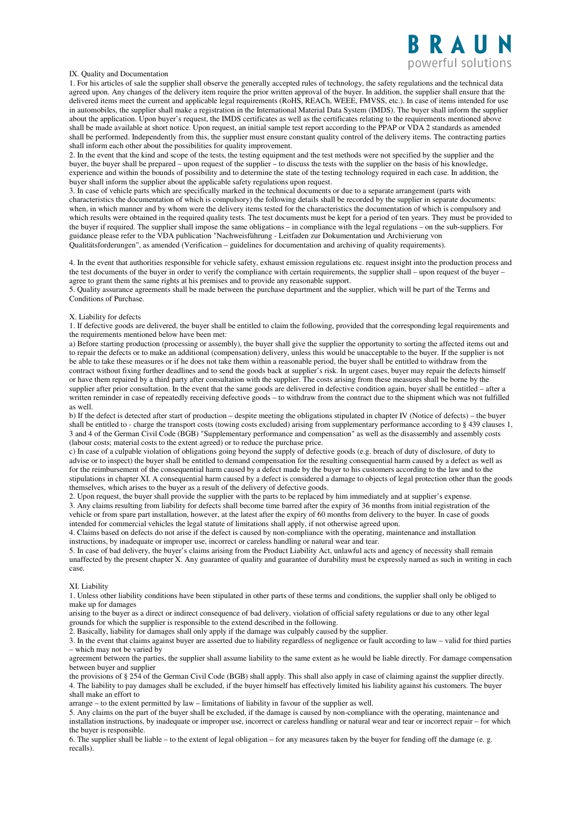# **RAU** powerful solutions

# IX. Quality and Documentation

1. For his articles of sale the supplier shall observe the generally accepted rules of technology, the safety regulations and the technical data agreed upon. Any changes of the delivery item require the prior written approval of the buyer. In addition, the supplier shall ensure that the delivered items meet the current and applicable legal requirements (RoHS, REACh, WEEE, FMVSS, etc.). In case of items intended for use in automobiles, the supplier shall make a registration in the International Material Data System (IMDS). The buyer shall inform the supplier about the application. Upon buyer's request, the IMDS certificates as well as the certificates relating to the requirements mentioned above shall be made available at short notice. Upon request, an initial sample test report according to the PPAP or VDA 2 standards as amended shall be performed. Independently from this, the supplier must ensure constant quality control of the delivery items. The contracting parties shall inform each other about the possibilities for quality improvement.

2. In the event that the kind and scope of the tests, the testing equipment and the test methods were not specified by the supplier and the buyer, the buyer shall be prepared – upon request of the supplier – to discuss the tests with the supplier on the basis of his knowledge, experience and within the bounds of possibility and to determine the state of the testing technology required in each case. In addition, the buyer shall inform the supplier about the applicable safety regulations upon request.

3. In case of vehicle parts which are specifically marked in the technical documents or due to a separate arrangement (parts with characteristics the documentation of which is compulsory) the following details shall be recorded by the supplier in separate documents: when, in which manner and by whom were the delivery items tested for the characteristics the documentation of which is compulsory and which results were obtained in the required quality tests. The test documents must be kept for a period of ten years. They must be provided to the buyer if required. The supplier shall impose the same obligations – in compliance with the legal regulations – on the sub-suppliers. For guidance please refer to the VDA publication "Nachweisführung - Leitfaden zur Dokumentation und Archivierung von Qualitätsforderungen", as amended (Verification – guidelines for documentation and archiving of quality requirements).

4. In the event that authorities responsible for vehicle safety, exhaust emission regulations etc. request insight into the production process and the test documents of the buyer in order to verify the compliance with certain requirements, the supplier shall – upon request of the buyer – agree to grant them the same rights at his premises and to provide any reasonable support.

5. Quality assurance agreements shall be made between the purchase department and the supplier, which will be part of the Terms and Conditions of Purchase.

### X. Liability for defects

1. If defective goods are delivered, the buyer shall be entitled to claim the following, provided that the corresponding legal requirements and the requirements mentioned below have been met:

a) Before starting production (processing or assembly), the buyer shall give the supplier the opportunity to sorting the affected items out and to repair the defects or to make an additional (compensation) delivery, unless this would be unacceptable to the buyer. If the supplier is not be able to take these measures or if he does not take them within a reasonable period, the buyer shall be entitled to withdraw from the contract without fixing further deadlines and to send the goods back at supplier's risk. In urgent cases, buyer may repair the defects himself or have them repaired by a third party after consultation with the supplier. The costs arising from these measures shall be borne by the supplier after prior consultation. In the event that the same goods are delivered in defective condition again, buyer shall be entitled – after a written reminder in case of repeatedly receiving defective goods – to withdraw from the contract due to the shipment which was not fulfilled as well.

b) If the defect is detected after start of production – despite meeting the obligations stipulated in chapter IV (Notice of defects) – the buyer shall be entitled to - charge the transport costs (towing costs excluded) arising from supplementary performance according to § 439 clauses 1, 3 and 4 of the German Civil Code (BGB) "Supplementary performance and compensation" as well as the disassembly and assembly costs (labour costs; material costs to the extent agreed) or to reduce the purchase price.

c) In case of a culpable violation of obligations going beyond the supply of defective goods (e.g. breach of duty of disclosure, of duty to advise or to inspect) the buyer shall be entitled to demand compensation for the resulting consequential harm caused by a defect as well as for the reimbursement of the consequential harm caused by a defect made by the buyer to his customers according to the law and to the stipulations in chapter XI. A consequential harm caused by a defect is considered a damage to objects of legal protection other than the goods themselves, which arises to the buyer as a result of the delivery of defective goods.

2. Upon request, the buyer shall provide the supplier with the parts to be replaced by him immediately and at supplier's expense. 3. Any claims resulting from liability for defects shall become time barred after the expiry of 36 months from initial registration of the vehicle or from spare part installation, however, at the latest after the expiry of 60 months from delivery to the buyer. In case of goods intended for commercial vehicles the legal statute of limitations shall apply, if not otherwise agreed upon.

4. Claims based on defects do not arise if the defect is caused by non-compliance with the operating, maintenance and installation instructions, by inadequate or improper use, incorrect or careless handling or natural wear and tear.

5. In case of bad delivery, the buyer's claims arising from the Product Liability Act, unlawful acts and agency of necessity shall remain unaffected by the present chapter X. Any guarantee of quality and guarantee of durability must be expressly named as such in writing in each case.

#### XI. Liability

1. Unless other liability conditions have been stipulated in other parts of these terms and conditions, the supplier shall only be obliged to make up for damages

arising to the buyer as a direct or indirect consequence of bad delivery, violation of official safety regulations or due to any other legal grounds for which the supplier is responsible to the extend described in the following.

2. Basically, liability for damages shall only apply if the damage was culpably caused by the supplier.

3. In the event that claims against buyer are asserted due to liability regardless of negligence or fault according to law – valid for third parties – which may not be varied by

agreement between the parties, the supplier shall assume liability to the same extent as he would be liable directly. For damage compensation between buyer and supplier

the provisions of § 254 of the German Civil Code (BGB) shall apply. This shall also apply in case of claiming against the supplier directly. 4. The liability to pay damages shall be excluded, if the buyer himself has effectively limited his liability against his customers. The buyer shall make an effort to

arrange – to the extent permitted by law – limitations of liability in favour of the supplier as well.

5. Any claims on the part of the buyer shall be excluded, if the damage is caused by non-compliance with the operating, maintenance and installation instructions, by inadequate or improper use, incorrect or careless handling or natural wear and tear or incorrect repair – for which the buyer is responsible.

6. The supplier shall be liable – to the extent of legal obligation – for any measures taken by the buyer for fending off the damage (e. g. recalls).